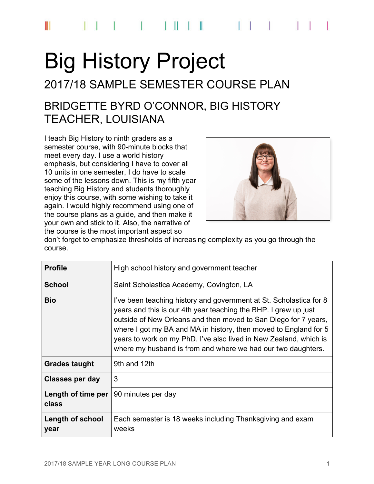# Big History Project

## 2017/18 SAMPLE SEMESTER COURSE PLAN

## BRIDGETTE BYRD O'CONNOR, BIG HISTORY TEACHER, LOUISIANA

I teach Big History to ninth graders as a semester course, with 90-minute blocks that meet every day. I use a world history emphasis, but considering I have to cover all 10 units in one semester, I do have to scale some of the lessons down. This is my fifth year teaching Big History and students thoroughly enjoy this course, with some wishing to take it again. I would highly recommend using one of the course plans as a guide, and then make it your own and stick to it. Also, the narrative of the course is the most important aspect so



don't forget to emphasize thresholds of increasing complexity as you go through the course.

| <b>Profile</b>              | High school history and government teacher                                                                                                                                                                                                                                                                                                                                                                        |  |
|-----------------------------|-------------------------------------------------------------------------------------------------------------------------------------------------------------------------------------------------------------------------------------------------------------------------------------------------------------------------------------------------------------------------------------------------------------------|--|
| School                      | Saint Scholastica Academy, Covington, LA                                                                                                                                                                                                                                                                                                                                                                          |  |
| <b>Bio</b>                  | I've been teaching history and government at St. Scholastica for 8<br>years and this is our 4th year teaching the BHP. I grew up just<br>outside of New Orleans and then moved to San Diego for 7 years,<br>where I got my BA and MA in history, then moved to England for 5<br>years to work on my PhD. I've also lived in New Zealand, which is<br>where my husband is from and where we had our two daughters. |  |
| <b>Grades taught</b>        | 9th and 12th                                                                                                                                                                                                                                                                                                                                                                                                      |  |
| <b>Classes per day</b>      | 3                                                                                                                                                                                                                                                                                                                                                                                                                 |  |
| Length of time per<br>class | 90 minutes per day                                                                                                                                                                                                                                                                                                                                                                                                |  |
| Length of school<br>year    | Each semester is 18 weeks including Thanksgiving and exam<br>weeks                                                                                                                                                                                                                                                                                                                                                |  |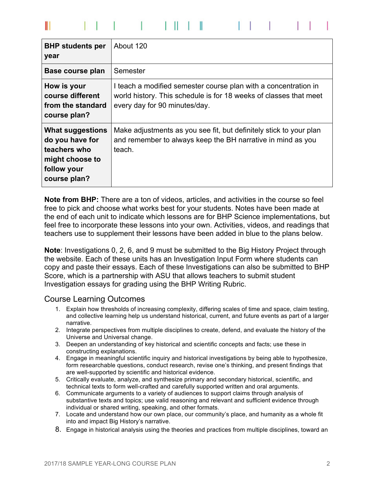| <b>BHP</b> students per<br>year                                                                              | About 120                                                                                                                                                             |
|--------------------------------------------------------------------------------------------------------------|-----------------------------------------------------------------------------------------------------------------------------------------------------------------------|
| Base course plan                                                                                             | Semester                                                                                                                                                              |
| How is your<br>course different<br>from the standard<br>course plan?                                         | I teach a modified semester course plan with a concentration in<br>world history. This schedule is for 18 weeks of classes that meet<br>every day for 90 minutes/day. |
| <b>What suggestions</b><br>do you have for<br>teachers who<br>might choose to<br>follow your<br>course plan? | Make adjustments as you see fit, but definitely stick to your plan<br>and remember to always keep the BH narrative in mind as you<br>teach.                           |

**Note from BHP:** There are a ton of videos, articles, and activities in the course so feel free to pick and choose what works best for your students. Notes have been made at the end of each unit to indicate which lessons are for BHP Science implementations, but feel free to incorporate these lessons into your own. Activities, videos, and readings that teachers use to supplement their lessons have been added in blue to the plans below.

**Note**: Investigations 0, 2, 6, and 9 must be submitted to the Big History Project through the website. Each of these units has an Investigation Input Form where students can copy and paste their essays. Each of these Investigations can also be submitted to BHP Score, which is a partnership with ASU that allows teachers to submit student Investigation essays for grading using the BHP Writing Rubric.

#### Course Learning Outcomes

- 1. Explain how thresholds of increasing complexity, differing scales of time and space, claim testing, and collective learning help us understand historical, current, and future events as part of a larger narrative.
- 2. Integrate perspectives from multiple disciplines to create, defend, and evaluate the history of the Universe and Universal change.
- 3. Deepen an understanding of key historical and scientific concepts and facts; use these in constructing explanations.
- 4. Engage in meaningful scientific inquiry and historical investigations by being able to hypothesize, form researchable questions, conduct research, revise one's thinking, and present findings that are well-supported by scientific and historical evidence.
- 5. Critically evaluate, analyze, and synthesize primary and secondary historical, scientific, and technical texts to form well-crafted and carefully supported written and oral arguments.
- 6. Communicate arguments to a variety of audiences to support claims through analysis of substantive texts and topics; use valid reasoning and relevant and sufficient evidence through individual or shared writing, speaking, and other formats.
- 7. Locate and understand how our own place, our community's place, and humanity as a whole fit into and impact Big History's narrative.
- 8. Engage in historical analysis using the theories and practices from multiple disciplines, toward an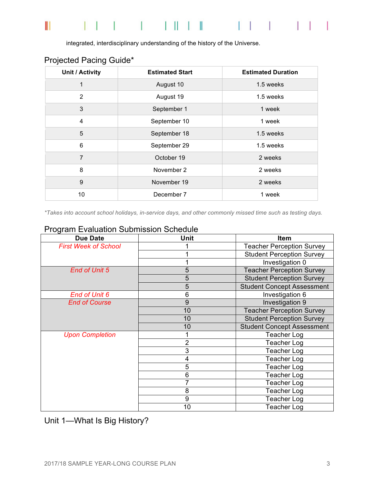#### $\parallel$  $\mathbb{R}^n$  $\Box$  $\mathbf{L}$ -1  $\sim$  1

integrated, interdisciplinary understanding of the history of the Universe.

| Unit / Activity | <b>Estimated Start</b> | <b>Estimated Duration</b> |
|-----------------|------------------------|---------------------------|
| 1               | August 10              | 1.5 weeks                 |
| $\overline{2}$  | August 19              | 1.5 weeks                 |
| 3               | September 1            | 1 week                    |
| $\overline{4}$  | September 10           | 1 week                    |
| 5               | September 18           | 1.5 weeks                 |
| 6               | September 29           | 1.5 weeks                 |
| $\overline{7}$  | October 19             | 2 weeks                   |
| 8               | November 2             | 2 weeks                   |
| 9               | November 19            | 2 weeks                   |
| 10              | December 7             | 1 week                    |

## Projected Pacing Guide\*

*\*Takes into account school holidays, in-service days, and other commonly missed time such as testing days.*

| <b>Due Date</b>             | Unit | <b>Item</b>                       |
|-----------------------------|------|-----------------------------------|
| <b>First Week of School</b> |      | <b>Teacher Perception Survey</b>  |
|                             |      | <b>Student Perception Survey</b>  |
|                             |      | Investigation 0                   |
| <b>End of Unit 5</b>        | 5    | <b>Teacher Perception Survey</b>  |
|                             | 5    | <b>Student Perception Survey</b>  |
|                             | 5    | <b>Student Concept Assessment</b> |
| <b>End of Unit 6</b>        | 6    | Investigation 6                   |
| <b>End of Course</b>        | 9    | Investigation 9                   |
|                             | 10   | <b>Teacher Perception Survey</b>  |
|                             | 10   | <b>Student Perception Survey</b>  |
|                             | 10   | <b>Student Concept Assessment</b> |
| <b>Upon Completion</b>      |      | <b>Teacher Log</b>                |
|                             | 2    | <b>Teacher Log</b>                |
|                             | 3    | <b>Teacher Log</b>                |
|                             | 4    | <b>Teacher Log</b>                |
|                             | 5    | <b>Teacher Log</b>                |
|                             | 6    | <b>Teacher Log</b>                |
|                             |      | <b>Teacher Log</b>                |
|                             | 8    | <b>Teacher Log</b>                |
|                             | 9    | <b>Teacher Log</b>                |
|                             | 10   | <b>Teacher Log</b>                |

### Program Evaluation Submission Schedule

Unit 1—What Is Big History?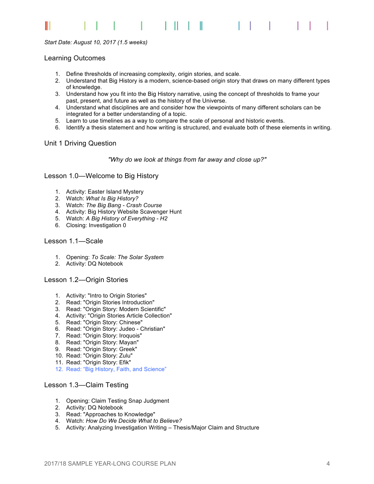#### Ш

#### *Start Date: August 10, 2017 (1.5 weeks)*

#### Learning Outcomes

- 1. Define thresholds of increasing complexity, origin stories, and scale.
- 2. Understand that Big History is a modern, science-based origin story that draws on many different types of knowledge.
- 3. Understand how you fit into the Big History narrative, using the concept of thresholds to frame your past, present, and future as well as the history of the Universe.
- 4. Understand what disciplines are and consider how the viewpoints of many different scholars can be integrated for a better understanding of a topic.
- 5. Learn to use timelines as a way to compare the scale of personal and historic events.
- 6. Identify a thesis statement and how writing is structured, and evaluate both of these elements in writing.

#### Unit 1 Driving Question

*"Why do we look at things from far away and close up?"*

#### Lesson 1.0—Welcome to Big History

- 1. Activity: Easter Island Mystery
- 2. Watch: *What Is Big History?*
- 3. Watch: *The Big Bang - Crash Course*
- 4. Activity: Big History Website Scavenger Hunt
- 5. Watch: *A Big History of Everything - H2*
- 6. Closing: Investigation 0

#### Lesson 1.1—Scale

- 1. Opening: *To Scale: The Solar System*
- 2. Activity: DQ Notebook

#### Lesson 1.2—Origin Stories

- 1. Activity: "Intro to Origin Stories"
- 2. Read: "Origin Stories Introduction"
- 3. Read: "Origin Story: Modern Scientific"
- 4. Activity: "Origin Stories Article Collection"
- 5. Read: "Origin Story: Chinese"
- 6. Read: "Origin Story: Judeo Christian"
- 7. Read: "Origin Story: Iroquois"
- 8. Read: "Origin Story: Mayan"
- 9. Read: "Origin Story: Greek"
- 10. Read: "Origin Story: Zulu"
- 11. Read: "Origin Story: Efik"
- 12. Read: "Big History, Faith, and Science"

#### Lesson 1.3—Claim Testing

- 1. Opening: Claim Testing Snap Judgment
- 2. Activity: DQ Notebook
- 3. Read: "Approaches to Knowledge"
- 4. Watch: *How Do We Decide What to Believe?*
- 5. Activity: Analyzing Investigation Writing Thesis/Major Claim and Structure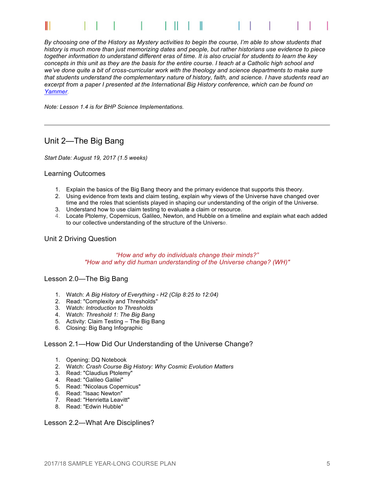

*By choosing one of the History as Mystery activities to begin the course, I'm able to show students that history is much more than just memorizing dates and people, but rather historians use evidence to piece together information to understand different eras of time. It is also crucial for students to learn the key concepts in this unit as they are the basis for the entire course. I teach at a Catholic high school and we've done quite a bit of cross-curricular work with the theology and science departments to make sure that students understand the complementary nature of history, faith, and science. I have students read an*  excerpt from a paper I presented at the International Big History conference, which can be found on *Yammer.*

*Note: Lesson 1.4 is for BHP Science Implementations.*

#### Unit 2—The Big Bang

*Start Date: August 19, 2017 (1.5 weeks)*

#### Learning Outcomes

- 1. Explain the basics of the Big Bang theory and the primary evidence that supports this theory.
- 2. Using evidence from texts and claim testing, explain why views of the Universe have changed over
- time and the roles that scientists played in shaping our understanding of the origin of the Universe.
- 3. Understand how to use claim testing to evaluate a claim or resource.
- 4. Locate Ptolemy, Copernicus, Galileo, Newton, and Hubble on a timeline and explain what each added to our collective understanding of the structure of the Universe.

#### Unit 2 Driving Question

#### *"How and why do individuals change their minds?" "How and why did human understanding of the Universe change? (WH)"*

#### Lesson 2.0—The Big Bang

- 1. Watch: *A Big History of Everything - H2 (Clip 8:25 to 12:04)*
- 2. Read: "Complexity and Thresholds"
- 3. Watch: *Introduction to Thresholds*
- 4. Watch: *Threshold 1: The Big Bang*
- 5. Activity: Claim Testing The Big Bang
- 6. Closing: Big Bang Infographic

#### Lesson 2.1—How Did Our Understanding of the Universe Change?

- 1. Opening: DQ Notebook
- 2. Watch: *Crash Course Big History: Why Cosmic Evolution Matters*
- 3. Read: "Claudius Ptolemy"
- 4. Read: "Galileo Galilei"
- 5. Read: "Nicolaus Copernicus"
- 6. Read: "Isaac Newton"
- 7. Read: "Henrietta Leavitt"
- 8. Read: "Edwin Hubble"

#### Lesson 2.2—What Are Disciplines?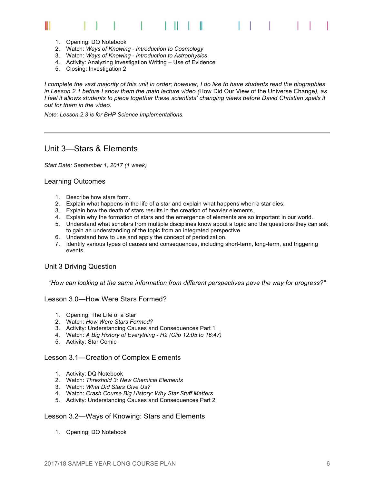#### 1 1 1 1  $\Box$ Ш

- 1. Opening: DQ Notebook
- 2. Watch: *Ways of Knowing - Introduction to Cosmology*
- 3. Watch: *Ways of Knowing - Introduction to Astrophysics*
- 4. Activity: Analyzing Investigation Writing Use of Evidence
- 5. Closing: Investigation 2

*I complete the vast majority of this unit in order; however, I do like to have students read the biographies in Lesson 2.1 before I show them the main lecture video (*How Did Our View of the Universe Change*), as I feel it allows students to piece together these scientists' changing views before David Christian spells it out for them in the video.*

*Note: Lesson 2.3 is for BHP Science Implementations.*

#### Unit 3—Stars & Elements

*Start Date: September 1, 2017 (1 week)*

#### Learning Outcomes

- 1. Describe how stars form.
- 2. Explain what happens in the life of a star and explain what happens when a star dies.
- 3. Explain how the death of stars results in the creation of heavier elements.
- 4. Explain why the formation of stars and the emergence of elements are so important in our world.
- 5. Understand what scholars from multiple disciplines know about a topic and the questions they can ask to gain an understanding of the topic from an integrated perspective.
- 6. Understand how to use and apply the concept of periodization.
- 7. Identify various types of causes and consequences, including short-term, long-term, and triggering events.

#### Unit 3 Driving Question

*"How can looking at the same information from different perspectives pave the way for progress?"*

#### Lesson 3.0—How Were Stars Formed?

- 1. Opening: The Life of a Star
- 2. Watch: *How Were Stars Formed?*
- 3. Activity: Understanding Causes and Consequences Part 1
- 4. Watch: *A Big History of Everything - H2 (Clip 12:05 to 16:47)*
- 5. Activity: Star Comic

#### Lesson 3.1—Creation of Complex Elements

- 1. Activity: DQ Notebook
- 2. Watch: *Threshold 3: New Chemical Elements*
- 3. Watch: *What Did Stars Give Us?*
- 4. Watch: *Crash Course Big History: Why Star Stuff Matters*
- 5. Activity: Understanding Causes and Consequences Part 2

#### Lesson 3.2—Ways of Knowing: Stars and Elements

1. Opening: DQ Notebook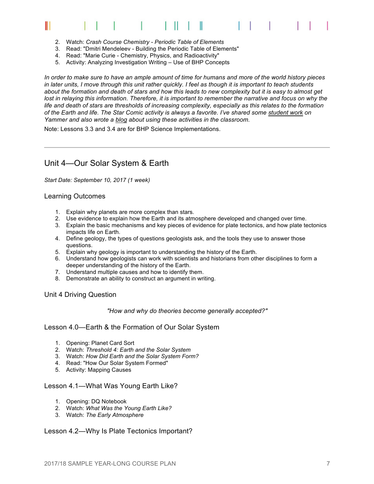# Ш

- 2. Watch: *Crash Course Chemistry - Periodic Table of Elements*
- 3. Read: "Dmitri Mendeleev Building the Periodic Table of Elements"
- 4. Read: "Marie Curie Chemistry, Physics, and Radioactivity"
- 5. Activity: Analyzing Investigation Writing Use of BHP Concepts

*In order to make sure to have an ample amount of time for humans and more of the world history pieces in later units, I move through this unit rather quickly. I feel as though it is important to teach students about the formation and death of stars and how this leads to new complexity but it is easy to almost get lost in relaying this information. Therefore, it is important to remember the narrative and focus on why the life and death of stars are thresholds of increasing complexity, especially as this relates to the formation of the Earth and life. The Star Comic activity is always a favorite. I've shared some student work on Yammer and also wrote a blog about using these activities in the classroom.*

Note: Lessons 3.3 and 3.4 are for BHP Science Implementations.

### Unit 4—Our Solar System & Earth

*Start Date: September 10, 2017 (1 week)*

#### Learning Outcomes

- 1. Explain why planets are more complex than stars.
- 2. Use evidence to explain how the Earth and its atmosphere developed and changed over time.
- 3. Explain the basic mechanisms and key pieces of evidence for plate tectonics, and how plate tectonics impacts life on Earth.
- 4. Define geology, the types of questions geologists ask, and the tools they use to answer those questions.
- 5. Explain why geology is important to understanding the history of the Earth.
- 6. Understand how geologists can work with scientists and historians from other disciplines to form a deeper understanding of the history of the Earth.
- 7. Understand multiple causes and how to identify them.
- 8. Demonstrate an ability to construct an argument in writing.

#### Unit 4 Driving Question

#### *"How and why do theories become generally accepted?"*

#### Lesson 4.0—Earth & the Formation of Our Solar System

- 1. Opening: Planet Card Sort
- 2. Watch: *Threshold 4: Earth and the Solar System*
- 3. Watch: *How Did Earth and the Solar System Form?*
- 4. Read: "How Our Solar System Formed"
- 5. Activity: Mapping Causes

#### Lesson 4.1—What Was Young Earth Like?

- 1. Opening: DQ Notebook
- 2. Watch: *What Was the Young Earth Like?*
- 3. Watch: *The Early Atmosphere*

#### Lesson 4.2—Why Is Plate Tectonics Important?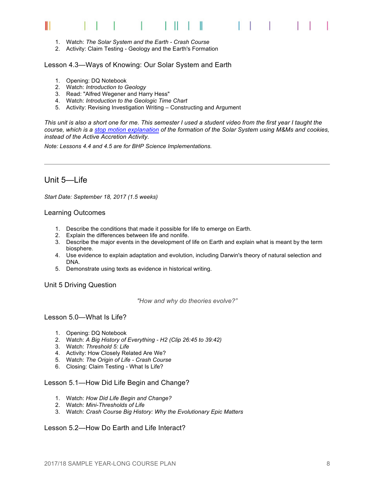#### **The Common** Ш H.

- 1. Watch: *The Solar System and the Earth - Crash Course*
- 2. Activity: Claim Testing Geology and the Earth's Formation

#### Lesson 4.3—Ways of Knowing: Our Solar System and Earth

- 1. Opening: DQ Notebook
- 2. Watch: *Introduction to Geology*
- 3. Read: "Alfred Wegener and Harry Hess"
- 4. Watch: *Introduction to the Geologic Time Chart*
- 5. Activity: Revising Investigation Writing Constructing and Argument

*This unit is also a short one for me. This semester I used a student video from the first year I taught the course, which is a stop motion explanation of the formation of the Solar System using M&Ms and cookies, instead of the Active Accretion Activity.*

*Note: Lessons 4.4 and 4.5 are for BHP Science Implementations.*

#### Unit 5—Life

*Start Date: September 18, 2017 (1.5 weeks)*

#### Learning Outcomes

- 1. Describe the conditions that made it possible for life to emerge on Earth.
- 2. Explain the differences between life and nonlife.
- 3. Describe the major events in the development of life on Earth and explain what is meant by the term biosphere.
- 4. Use evidence to explain adaptation and evolution, including Darwin's theory of natural selection and DNA.
- 5. Demonstrate using texts as evidence in historical writing.

#### Unit 5 Driving Question

*"How and why do theories evolve?"*

#### Lesson 5.0—What Is Life?

- 1. Opening: DQ Notebook
- 2. Watch: *A Big History of Everything - H2 (Clip 26:45 to 39:42)*
- 3. Watch: *Threshold 5: Life*
- 4. Activity: How Closely Related Are We?
- 5. Watch: *The Origin of Life - Crash Course*
- 6. Closing: Claim Testing What Is Life?

#### Lesson 5.1—How Did Life Begin and Change?

- 1. Watch: *How Did Life Begin and Change?*
- 2. Watch: *Mini-Thresholds of Life*
- 3. Watch: *Crash Course Big History: Why the Evolutionary Epic Matters*

#### Lesson 5.2—How Do Earth and Life Interact?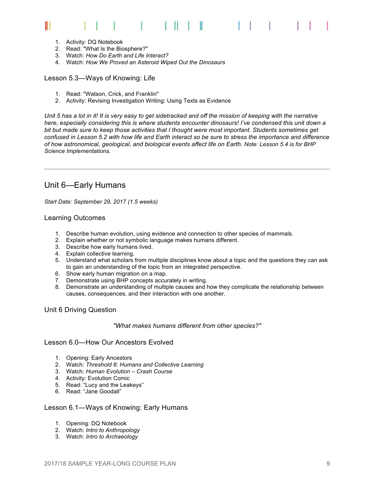#### $\Box$ Ш

- 1. Activity: DQ Notebook
- 2. Read: "What Is the Biosphere?"
- 3. Watch: *How Do Earth and Life Interact?*
- 4. Watch: *How We Proved an Asteroid Wiped Out the Dinosaurs*

#### Lesson 5.3—Ways of Knowing: Life

- 1. Read: "Watson, Crick, and Franklin"
- 2. Activity: Revising Investigation Writing: Using Texts as Evidence

*Unit 5 has a lot in it! It is very easy to get sidetracked and off the mission of keeping with the narrative here, especially considering this is where students encounter dinosaurs! I've condensed this unit down a bit but made sure to keep those activities that I thought were most important. Students sometimes get confused in Lesson 5.2 with how life and Earth interact so be sure to stress the importance and difference of how astronomical, geological, and biological events affect life on Earth. Note: Lesson 5.4 is for BHP Science Implementations.*

#### Unit 6—Early Humans

*Start Date: September 29, 2017 (1.5 weeks)*

#### Learning Outcomes

- 1. Describe human evolution, using evidence and connection to other species of mammals.
- 2. Explain whether or not symbolic language makes humans different.
- 3. Describe how early humans lived.
- 4. Explain collective learning.
- 5. Understand what scholars from multiple disciplines know about a topic and the questions they can ask to gain an understanding of the topic from an integrated perspective.
- 6. Show early human migration on a map.
- 7. Demonstrate using BHP concepts accurately in writing.
- 8. Demonstrate an understanding of multiple causes and how they complicate the relationship between causes, consequences, and their interaction with one another.

#### Unit 6 Driving Question

#### *"What makes humans different from other species?"*

#### Lesson 6.0—How Our Ancestors Evolved

- 1. Opening: Early Ancestors
- 2. Watch: *Threshold 6: Humans and Collective Learning*
- 3. Watch: *Human Evolution – Crash Course*
- 4. Activity: Evolution Comic
- 5. Read: "Lucy and the Leakeys"
- 6. Read: "Jane Goodall"

#### Lesson 6.1—Ways of Knowing: Early Humans

- 1. Opening: DQ Notebook
- 2. Watch: *Intro to Anthropology*
- 3. Watch: *Intro to Archaeology*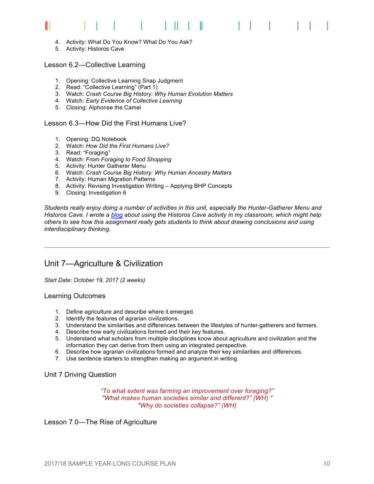#### $\Box$ Ш Ш

- 4. Activity: What Do You Know? What Do You Ask?
- 5. Activity: Historos Cave

Lesson 6.2—Collective Learning

- 1. Opening: Collective Learning Snap Judgment
- 2. Read: "Collective Learning" (Part 1)
- 3. Watch: *Crash Course Big History: Why Human Evolution Matters*
- 4. Watch: *Early Evidence of Collective Learning*
- 5. Closing: Alphonse the Camel

#### Lesson 6.3—How Did the First Humans Live?

- 1. Opening: DQ Notebook
- 2. Watch: *How Did the First Humans Live?*
- 3. Read: "Foraging"
- 4. Watch: *From Foraging to Food Shopping*
- 5. Activity: Hunter Gatherer Menu
- 6. Watch: *Crash Course Big History: Why Human Ancestry Matters*
- 7. Activity: Human Migration Patterns
- 8. Activity: Revising Investigation Writing Applying BHP Concepts
- 9. Closing: Investigation 6

*Students really enjoy doing a number of activities in this unit, especially the Hunter-Gatherer Menu and Historos Cave. I wrote a blog about using the Historos Cave activity in my classroom, which might help others to see how this assignment really gets students to think about drawing conclusions and using interdisciplinary thinking.*

#### Unit 7—Agriculture & Civilization

*Start Date: October 19, 2017 (2 weeks)*

#### Learning Outcomes

- 1. Define agriculture and describe where it emerged.
- 2. Identify the features of agrarian civilizations.
- 3. Understand the similarities and differences between the lifestyles of hunter-gatherers and farmers.
- 4. Describe how early civilizations formed and their key features.
- 5. Understand what scholars from multiple disciplines know about agriculture and civilization and the information they can derive from them using an integrated perspective.
- 6. Describe how agrarian civilizations formed and analyze their key similarities and differences.
- 7. Use sentence starters to strengthen making an argument in writing.

#### Unit 7 Driving Question

*"To what extent was farming an improvement over foraging?" "What makes human societies similar and different?" (WH) " "Why do societies collapse?" (WH)*

Lesson 7.0—The Rise of Agriculture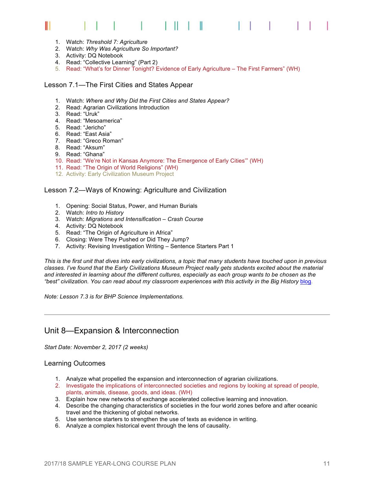#### Ш

- 1. Watch: *Threshold 7: Agriculture*
- 2. Watch: *Why Was Agriculture So Important?*
- 3. Activity: DQ Notebook
- 4. Read: "Collective Learning" (Part 2)
- 5. Read: "What's for Dinner Tonight? Evidence of Early Agriculture The First Farmers" (WH)

#### Lesson 7.1—The First Cities and States Appear

- 1. Watch: *Where and Why Did the First Cities and States Appear?*
- 2. Read: Agrarian Civilizations Introduction
- 3. Read: "Uruk"
- 4. Read: "Mesoamerica"
- 5. Read: "Jericho"
- 6. Read: "East Asia"
- 7. Read: "Greco Roman"
- 8. Read: "Aksum"
- 9. Read: "Ghana"
- 10. Read: "We're Not in Kansas Anymore: The Emergence of Early Cities'" (WH)
- 11. Read: "The Origin of World Religions" (WH)
- 12. Activity: Early Civilization Museum Project

#### Lesson 7.2—Ways of Knowing: Agriculture and Civilization

- 1. Opening: Social Status, Power, and Human Burials
- 2. Watch: *Intro to History*
- 3. Watch: *Migrations and Intensification – Crash Course*
- 4. Activity: DQ Notebook
- 5. Read: "The Origin of Agriculture in Africa"
- 6. Closing: Were They Pushed or Did They Jump?
- 7. Activity: Revising Investigation Writing Sentence Starters Part 1

*This is the first unit that dives into early civilizations, a topic that many students have touched upon in previous classes. I've found that the Early Civilizations Museum Project really gets students excited about the material and interested in learning about the different cultures, especially as each group wants to be chosen as the*  "best" civilization. You can read about my classroom experiences with this activity in the Big History blog.

*Note: Lesson 7.3 is for BHP Science Implementations.*

#### Unit 8—Expansion & Interconnection

*Start Date: November 2, 2017 (2 weeks)*

#### Learning Outcomes

- 1. Analyze what propelled the expansion and interconnection of agrarian civilizations.
- 2. Investigate the implications of interconnected societies and regions by looking at spread of people, plants, animals, disease, goods, and ideas. (WH)
- 3. Explain how new networks of exchange accelerated collective learning and innovation.
- 4. Describe the changing characteristics of societies in the four world zones before and after oceanic travel and the thickening of global networks.
- 5. Use sentence starters to strengthen the use of texts as evidence in writing.
- 6. Analyze a complex historical event through the lens of causality.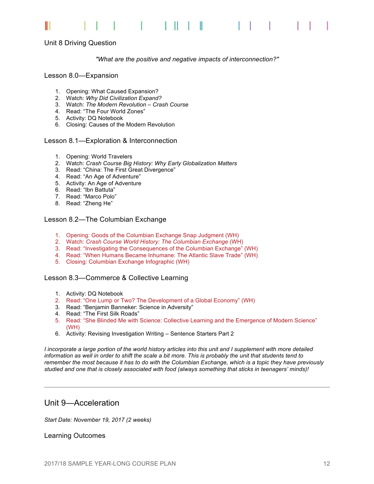

#### Unit 8 Driving Question

#### *"What are the positive and negative impacts of interconnection?"*

#### Lesson 8.0—Expansion

- 1. Opening: What Caused Expansion?
- 2. Watch: *Why Did Civilization Expand?*
- 3. Watch: *The Modern Revolution – Crash Course*
- 4. Read: "The Four World Zones"
- 5. Activity: DQ Notebook
- 6. Closing: Causes of the Modern Revolution

#### Lesson 8.1—Exploration & Interconnection

- 1. Opening: World Travelers
- 2. Watch: *Crash Course Big History: Why Early Globalization Matters*
- 3. Read: "China: The First Great Divergence"
- 4. Read: "An Age of Adventure"
- 5. Activity: An Age of Adventure
- 6. Read: "Ibn Battuta"
- 7. Read: "Marco Polo"
- 8. Read: "Zheng He"

#### Lesson 8.2—The Columbian Exchange

- 1. Opening: Goods of the Columbian Exchange Snap Judgment (WH)
- 2. Watch: *Crash Course World History: The Columbian Exchange* (WH)
- 3. Read: "Investigating the Consequences of the Columbian Exchange" (WH)
- 4. Read: "When Humans Became Inhumane: The Atlantic Slave Trade" (WH)
- 5. Closing: Columbian Exchange Infographic (WH)

#### Lesson 8.3—Commerce & Collective Learning

- 1. Activity: DQ Notebook
- 2. Read: "One Lump or Two? The Development of a Global Economy" (WH)
- 3. Read: "Benjamin Banneker: Science in Adversity"
- 4. Read: "The First Silk Roads"
- 5. Read: "She Blinded Me with Science: Collective Learning and the Emergence of Modern Science" (WH)
- 6. Activity: Revising Investigation Writing Sentence Starters Part 2

*I incorporate a large portion of the world history articles into this unit and I supplement with more detailed information as well in order to shift the scale a bit more. This is probably the unit that students tend to remember the most because it has to do with the Columbian Exchange, which is a topic they have previously studied and one that is closely associated with food (always something that sticks in teenagers' minds)!* 

#### Unit 9—Acceleration

*Start Date: November 19, 2017 (2 weeks)*

Learning Outcomes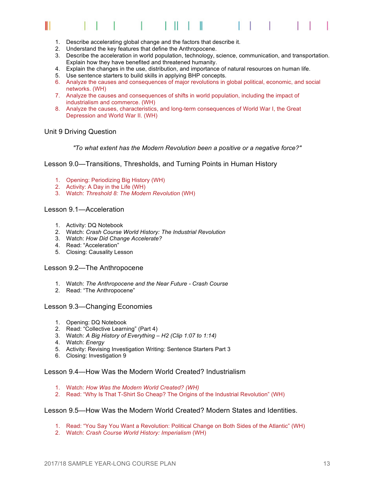#### Ш Ш

- 1. Describe accelerating global change and the factors that describe it.
- 2. Understand the key features that define the Anthropocene.
- 3. Describe the acceleration in world population, technology, science, communication, and transportation. Explain how they have benefited and threatened humanity.
- 4. Explain the changes in the use, distribution, and importance of natural resources on human life.
- 5. Use sentence starters to build skills in applying BHP concepts.
- 6. Analyze the causes and consequences of major revolutions in global political, economic, and social networks. (WH)
- 7. Analyze the causes and consequences of shifts in world population, including the impact of industrialism and commerce. (WH)
- 8. Analyze the causes, characteristics, and long-term consequences of World War I, the Great Depression and World War II. (WH)

#### Unit 9 Driving Question

*"To what extent has the Modern Revolution been a positive or a negative force?"*

Lesson 9.0—Transitions, Thresholds, and Turning Points in Human History

- 1. Opening: Periodizing Big History (WH)
- 2. Activity: A Day in the Life (WH)
- 3. Watch: *Threshold 8: The Modern Revolution* (WH)

#### Lesson 9.1—Acceleration

- 1. Activity: DQ Notebook
- 2. Watch: *Crash Course World History: The Industrial Revolution*
- 3. Watch: *How Did Change Accelerate?*
- 4. Read: "Acceleration"
- 5. Closing: Causality Lesson

#### Lesson 9.2—The Anthropocene

- 1. Watch: *The Anthropocene and the Near Future - Crash Course*
- 2. Read: "The Anthropocene"

#### Lesson 9.3—Changing Economies

- 1. Opening: DQ Notebook
- 2. Read: "Collective Learning" (Part 4)
- 3. Watch: *A Big History of Everything – H2 (Clip 1:07 to 1:14)*
- 4. Watch: *Energy*
- 5. Activity: Revising Investigation Writing: Sentence Starters Part 3
- 6. Closing: Investigation 9

#### Lesson 9.4—How Was the Modern World Created? Industrialism

- 1. Watch: *How Was the Modern World Created? (WH)*
- 2. Read: "Why Is That T-Shirt So Cheap? The Origins of the Industrial Revolution" (WH)

#### Lesson 9.5—How Was the Modern World Created? Modern States and Identities.

- 1. Read: "You Say You Want a Revolution: Political Change on Both Sides of the Atlantic" (WH)
- 2. Watch: *Crash Course World History: Imperialism* (WH)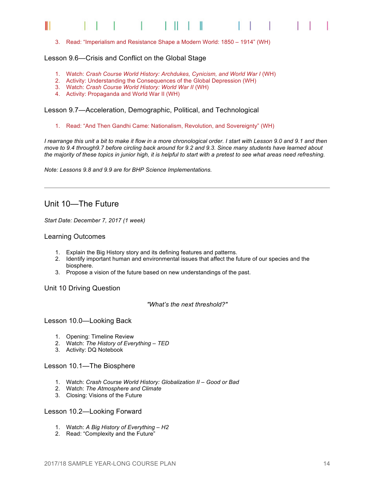3. Read: "Imperialism and Resistance Shape a Modern World: 1850 – 1914" (WH)

#### Lesson 9.6—Crisis and Conflict on the Global Stage

- 1. Watch: Crash Course World History: Archdukes, Cynicism, and World War I (WH)
- 2. Activity: Understanding the Consequences of the Global Depression (WH)
- 3. Watch: *Crash Course World History: World War II* (WH)
- 4. Activity: Propaganda and World War II (WH)

#### Lesson 9.7—Acceleration, Demographic, Political, and Technological

1. Read: "And Then Gandhi Came: Nationalism, Revolution, and Sovereignty" (WH)

*I rearrange this unit a bit to make it flow in a more chronological order. I start with Lesson 9.0 and 9.1 and then move to 9.4 through9.7 before circling back around for 9.2 and 9.3. Since many students have learned about the majority of these topics in junior high, it is helpful to start with a pretest to see what areas need refreshing.* 

*Note: Lessons 9.8 and 9.9 are for BHP Science Implementations.*

#### Unit 10—The Future

*Start Date: December 7, 2017 (1 week)*

#### Learning Outcomes

- 1. Explain the Big History story and its defining features and patterns.
- 2. Identify important human and environmental issues that affect the future of our species and the biosphere.
- 3. Propose a vision of the future based on new understandings of the past.

#### Unit 10 Driving Question

*"What's the next threshold?"*

#### Lesson 10.0—Looking Back

- 1. Opening: Timeline Review
- 2. Watch: *The History of Everything – TED*
- 3. Activity: DQ Notebook

#### Lesson 10.1—The Biosphere

- 1. Watch: *Crash Course World History: Globalization II – Good or Bad*
- 2. Watch: *The Atmosphere and Climate*
- 3. Closing: Visions of the Future

#### Lesson 10.2—Looking Forward

- 1. Watch: *A Big History of Everything – H2*
- 2. Read: "Complexity and the Future"